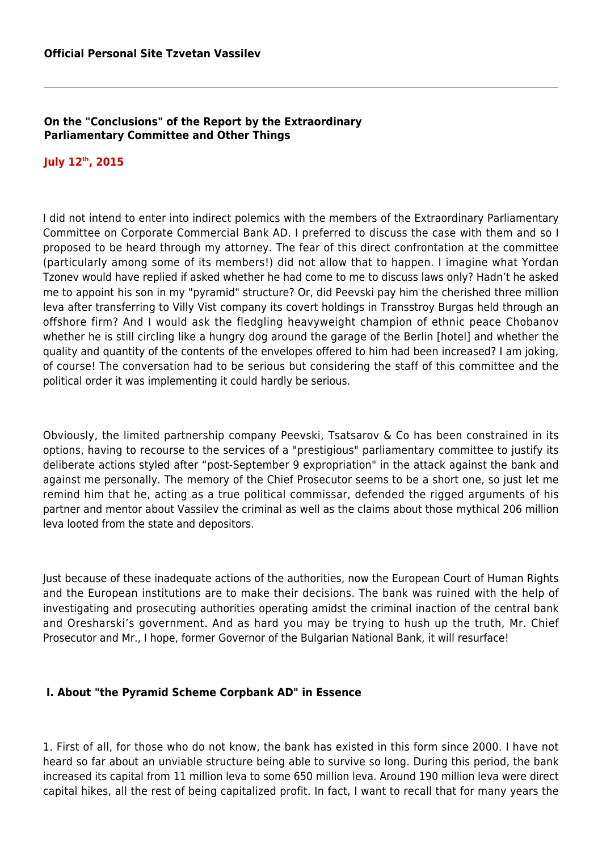### **On the "Conclusions" of the Report by the Extraordinary Parliamentary Committee and Other Things**

# **July 12th, 2015**

I did not intend to enter into indirect polemics with the members of the Extraordinary Parliamentary Committee on Corporate Commercial Bank AD. I preferred to discuss the case with them and so I proposed to be heard through my attorney. The fear of this direct confrontation at the committee (particularly among some of its members!) did not allow that to happen. I imagine what Yordan Tzonev would have replied if asked whether he had come to me to discuss laws only? Hadn't he asked me to appoint his son in my "pyramid" structure? Or, did Peevski pay him the cherished three million leva after transferring to Villy Vist company its covert holdings in Transstroy Burgas held through an offshore firm? And I would ask the fledgling heavyweight champion of ethnic peace Chobanov whether he is still circling like a hungry dog around the garage of the Berlin [hotel] and whether the quality and quantity of the contents of the envelopes offered to him had been increased? I am joking, of course! The conversation had to be serious but considering the staff of this committee and the political order it was implementing it could hardly be serious.

Obviously, the limited partnership company Peevski, Tsatsarov & Co has been constrained in its options, having to recourse to the services of a "prestigious" parliamentary committee to justify its deliberate actions styled after "post-September 9 expropriation" in the attack against the bank and against me personally. The memory of the Chief Prosecutor seems to be a short one, so just let me remind him that he, acting as a true political commissar, defended the rigged arguments of his partner and mentor about Vassilev the criminal as well as the claims about those mythical 206 million leva looted from the state and depositors.

Just because of these inadequate actions of the authorities, now the European Court of Human Rights and the European institutions are to make their decisions. The bank was ruined with the help of investigating and prosecuting authorities operating amidst the criminal inaction of the central bank and Oresharski's government. And as hard you may be trying to hush up the truth, Mr. Chief Prosecutor and Mr., I hope, former Governor of the Bulgarian National Bank, it will resurface!

## **I. About "the Pyramid Scheme Corpbank AD" in Essence**

1. First of all, for those who do not know, the bank has existed in this form since 2000. I have not heard so far about an unviable structure being able to survive so long. During this period, the bank increased its capital from 11 million leva to some 650 million leva. Around 190 million leva were direct capital hikes, all the rest of being capitalized profit. In fact, I want to recall that for many years the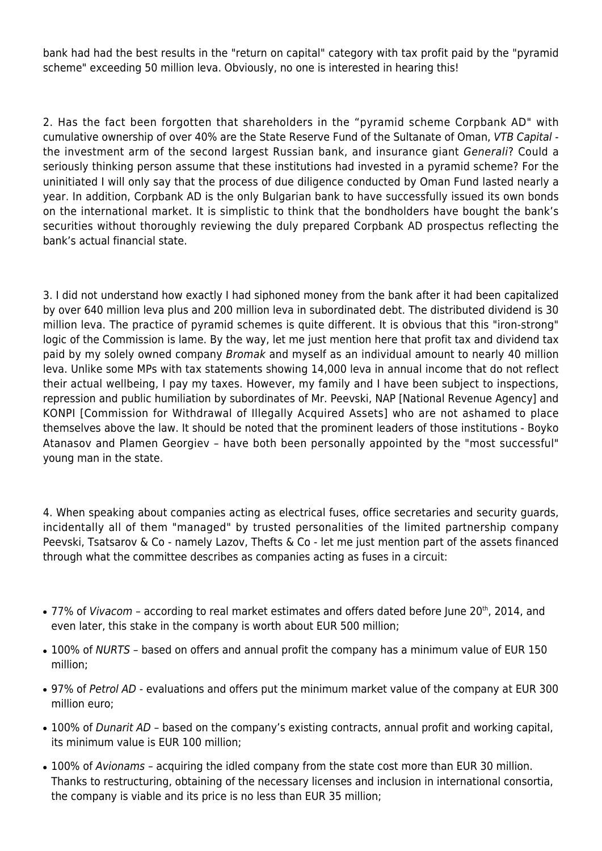bank had had the best results in the "return on capital" category with tax profit paid by the "pyramid scheme" exceeding 50 million leva. Obviously, no one is interested in hearing this!

2. Has the fact been forgotten that shareholders in the "pyramid scheme Corpbank AD" with cumulative ownership of over 40% are the State Reserve Fund of the Sultanate of Oman, VTB Capital the investment arm of the second largest Russian bank, and insurance giant Generali? Could a seriously thinking person assume that these institutions had invested in a pyramid scheme? For the uninitiated I will only say that the process of due diligence conducted by Oman Fund lasted nearly a year. In addition, Corpbank AD is the only Bulgarian bank to have successfully issued its own bonds on the international market. It is simplistic to think that the bondholders have bought the bank's securities without thoroughly reviewing the duly prepared Corpbank AD prospectus reflecting the bank's actual financial state.

3. I did not understand how exactly I had siphoned money from the bank after it had been capitalized by over 640 million leva plus and 200 million leva in subordinated debt. The distributed dividend is 30 million leva. The practice of pyramid schemes is quite different. It is obvious that this "iron-strong" logic of the Commission is lame. By the way, let me just mention here that profit tax and dividend tax paid by my solely owned company Bromak and myself as an individual amount to nearly 40 million leva. Unlike some MPs with tax statements showing 14,000 leva in annual income that do not reflect their actual wellbeing, I pay my taxes. However, my family and I have been subject to inspections, repression and public humiliation by subordinates of Mr. Peevski, NAP [National Revenue Agency] and KONPI [Commission for Withdrawal of Illegally Acquired Assets] who are not ashamed to place themselves above the law. It should be noted that the prominent leaders of those institutions - Boyko Atanasov and Plamen Georgiev – have both been personally appointed by the "most successful" young man in the state.

4. When speaking about companies acting as electrical fuses, office secretaries and security guards, incidentally all of them "managed" by trusted personalities of the limited partnership company Peevski, Tsatsarov & Co - namely Lazov, Thefts & Co - let me just mention part of the assets financed through what the committee describes as companies acting as fuses in a circuit:

- 77% of Vivacom according to real market estimates and offers dated before June 20<sup>th</sup>, 2014, and even later, this stake in the company is worth about EUR 500 million;
- 100% of NURTS based on offers and annual profit the company has a minimum value of EUR 150 million;
- 97% of Petrol AD evaluations and offers put the minimum market value of the company at EUR 300 million euro;
- 100% of Dunarit AD based on the company's existing contracts, annual profit and working capital, its minimum value is EUR 100 million;
- 100% of Avionams acquiring the idled company from the state cost more than EUR 30 million. Thanks to restructuring, obtaining of the necessary licenses and inclusion in international consortia, the company is viable and its price is no less than EUR 35 million;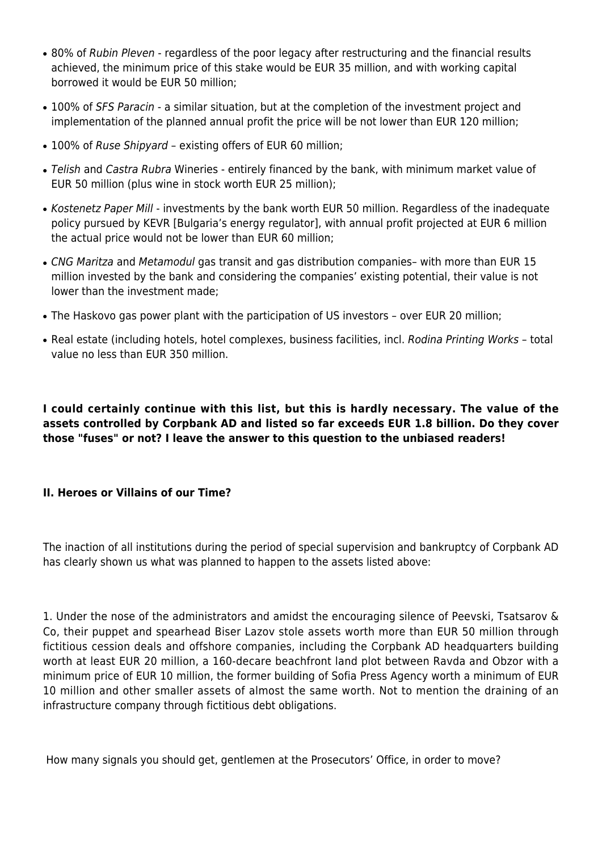- 80% of Rubin Pleven regardless of the poor legacy after restructuring and the financial results achieved, the minimum price of this stake would be EUR 35 million, and with working capital borrowed it would be EUR 50 million;
- 100% of SFS Paracin a similar situation, but at the completion of the investment project and implementation of the planned annual profit the price will be not lower than EUR 120 million;
- 100% of Ruse Shipyard existing offers of EUR 60 million;
- Telish and Castra Rubra Wineries entirely financed by the bank, with minimum market value of EUR 50 million (plus wine in stock worth EUR 25 million);
- Kostenetz Paper Mill investments by the bank worth EUR 50 million. Regardless of the inadequate policy pursued by KEVR [Bulgaria's energy regulator], with annual profit projected at EUR 6 million the actual price would not be lower than EUR 60 million;
- CNG Maritza and Metamodul gas transit and gas distribution companies- with more than EUR 15 million invested by the bank and considering the companies' existing potential, their value is not lower than the investment made;
- The Haskovo gas power plant with the participation of US investors over EUR 20 million;
- Real estate (including hotels, hotel complexes, business facilities, incl. Rodina Printing Works total value no less than EUR 350 million.

**I could certainly continue with this list, but this is hardly necessary. The value of the assets controlled by Corpbank AD and listed so far exceeds EUR 1.8 billion. Do they cover those "fuses" or not? I leave the answer to this question to the unbiased readers!**

## **II. Heroes or Villains of our Time?**

The inaction of all institutions during the period of special supervision and bankruptcy of Corpbank AD has clearly shown us what was planned to happen to the assets listed above:

1. Under the nose of the administrators and amidst the encouraging silence of Peevski, Tsatsarov & Co, their puppet and spearhead Biser Lazov stole assets worth more than EUR 50 million through fictitious cession deals and offshore companies, including the Corpbank AD headquarters building worth at least EUR 20 million, a 160-decare beachfront land plot between Ravda and Obzor with a minimum price of EUR 10 million, the former building of Sofia Press Agency worth a minimum of EUR 10 million and other smaller assets of almost the same worth. Not to mention the draining of an infrastructure company through fictitious debt obligations.

How many signals you should get, gentlemen at the Prosecutors' Office, in order to move?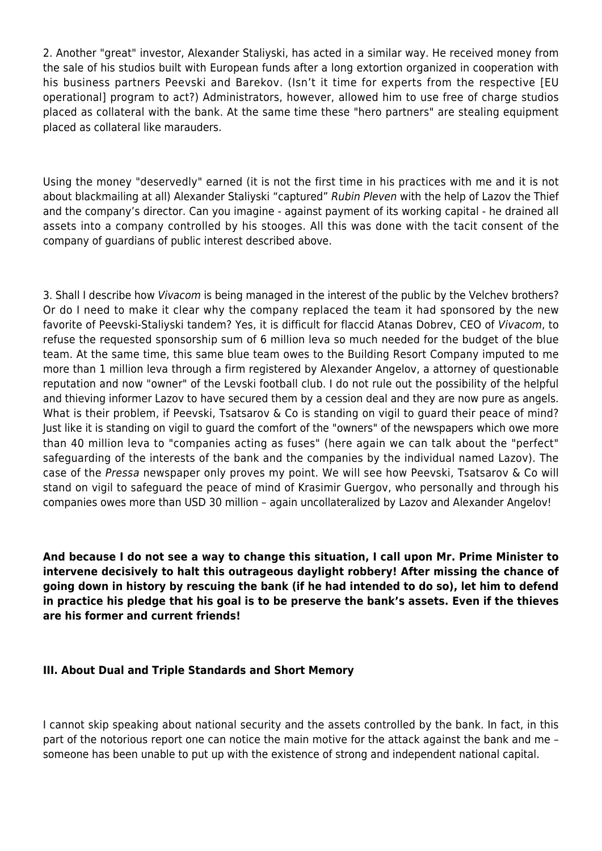2. Another "great" investor, Alexander Staliyski, has acted in a similar way. He received money from the sale of his studios built with European funds after a long extortion organized in cooperation with his business partners Peevski and Barekov. (Isn't it time for experts from the respective [EU operational] program to act?) Administrators, however, allowed him to use free of charge studios placed as collateral with the bank. At the same time these "hero partners" are stealing equipment placed as collateral like marauders.

Using the money "deservedly" earned (it is not the first time in his practices with me and it is not about blackmailing at all) Alexander Staliyski "captured" Rubin Pleven with the help of Lazov the Thief and the company's director. Can you imagine - against payment of its working capital - he drained all assets into a company controlled by his stooges. All this was done with the tacit consent of the company of guardians of public interest described above.

3. Shall I describe how Vivacom is being managed in the interest of the public by the Velchev brothers? Or do I need to make it clear why the company replaced the team it had sponsored by the new favorite of Peevski-Staliyski tandem? Yes, it is difficult for flaccid Atanas Dobrev, CEO of Vivacom, to refuse the requested sponsorship sum of 6 million leva so much needed for the budget of the blue team. At the same time, this same blue team owes to the Building Resort Company imputed to me more than 1 million leva through a firm registered by Alexander Angelov, a attorney of questionable reputation and now "owner" of the Levski football club. I do not rule out the possibility of the helpful and thieving informer Lazov to have secured them by a cession deal and they are now pure as angels. What is their problem, if Peevski, Tsatsarov & Co is standing on vigil to quard their peace of mind? Just like it is standing on vigil to guard the comfort of the "owners" of the newspapers which owe more than 40 million leva to "companies acting as fuses" (here again we can talk about the "perfect" safeguarding of the interests of the bank and the companies by the individual named Lazov). The case of the Pressa newspaper only proves my point. We will see how Peevski, Tsatsarov & Co will stand on vigil to safeguard the peace of mind of Krasimir Guergov, who personally and through his companies owes more than USD 30 million – again uncollateralized by Lazov and Alexander Angelov!

**And because I do not see a way to change this situation, I call upon Mr. Prime Minister to intervene decisively to halt this outrageous daylight robbery! After missing the chance of going down in history by rescuing the bank (if he had intended to do so), let him to defend in practice his pledge that his goal is to be preserve the bank's assets. Even if the thieves are his former and current friends!**

## **III. About Dual and Triple Standards and Short Memory**

I cannot skip speaking about national security and the assets controlled by the bank. In fact, in this part of the notorious report one can notice the main motive for the attack against the bank and me – someone has been unable to put up with the existence of strong and independent national capital.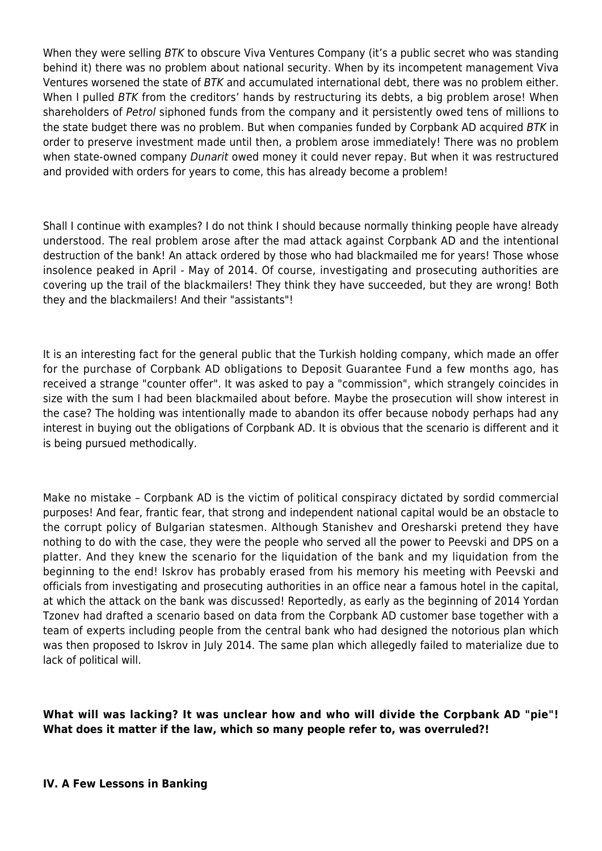When they were selling BTK to obscure Viva Ventures Company (it's a public secret who was standing behind it) there was no problem about national security. When by its incompetent management Viva Ventures worsened the state of BTK and accumulated international debt, there was no problem either. When I pulled BTK from the creditors' hands by restructuring its debts, a big problem arose! When shareholders of Petrol siphoned funds from the company and it persistently owed tens of millions to the state budget there was no problem. But when companies funded by Corpbank AD acquired BTK in order to preserve investment made until then, a problem arose immediately! There was no problem when state-owned company Dunarit owed money it could never repay. But when it was restructured and provided with orders for years to come, this has already become a problem!

Shall I continue with examples? I do not think I should because normally thinking people have already understood. The real problem arose after the mad attack against Corpbank AD and the intentional destruction of the bank! An attack ordered by those who had blackmailed me for years! Those whose insolence peaked in April - May of 2014. Of course, investigating and prosecuting authorities are covering up the trail of the blackmailers! They think they have succeeded, but they are wrong! Both they and the blackmailers! And their "assistants"!

It is an interesting fact for the general public that the Turkish holding company, which made an offer for the purchase of Corpbank AD obligations to Deposit Guarantee Fund a few months ago, has received a strange "counter offer". It was asked to pay a "commission", which strangely coincides in size with the sum I had been blackmailed about before. Maybe the prosecution will show interest in the case? The holding was intentionally made to abandon its offer because nobody perhaps had any interest in buying out the obligations of Corpbank AD. It is obvious that the scenario is different and it is being pursued methodically.

Make no mistake – Corpbank AD is the victim of political conspiracy dictated by sordid commercial purposes! And fear, frantic fear, that strong and independent national capital would be an obstacle to the corrupt policy of Bulgarian statesmen. Although Stanishev and Oresharski pretend they have nothing to do with the case, they were the people who served all the power to Peevski and DPS on a platter. And they knew the scenario for the liquidation of the bank and my liquidation from the beginning to the end! Iskrov has probably erased from his memory his meeting with Peevski and officials from investigating and prosecuting authorities in an office near a famous hotel in the capital, at which the attack on the bank was discussed! Reportedly, as early as the beginning of 2014 Yordan Tzonev had drafted a scenario based on data from the Corpbank AD customer base together with a team of experts including people from the central bank who had designed the notorious plan which was then proposed to Iskrov in July 2014. The same plan which allegedly failed to materialize due to lack of political will.

**What will was lacking? It was unclear how and who will divide the Corpbank AD "pie"! What does it matter if the law, which so many people refer to, was overruled?!**